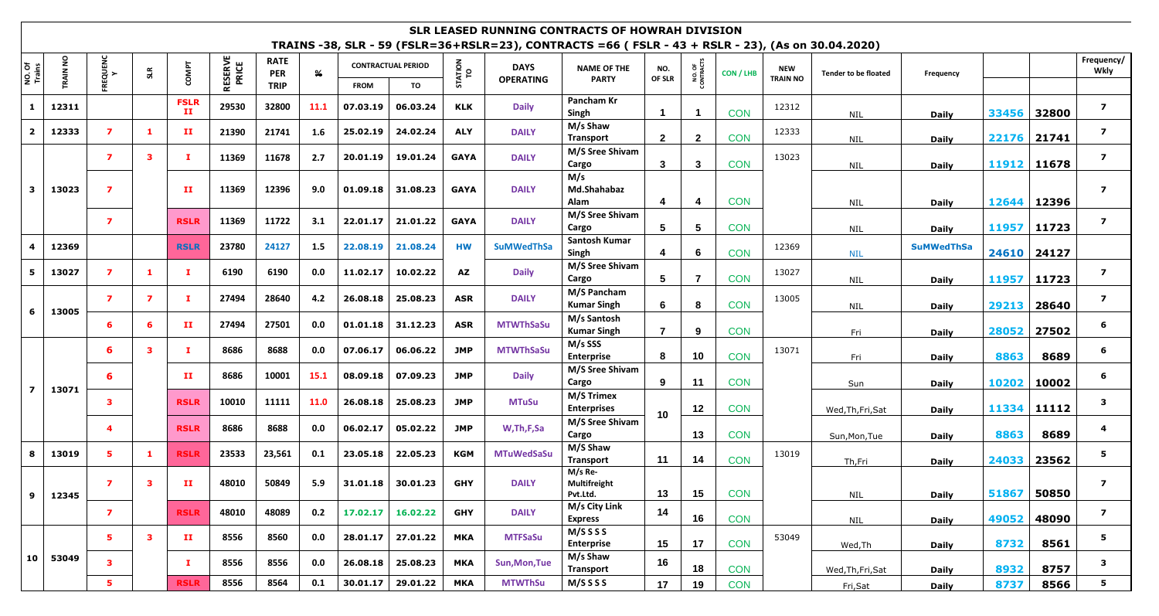## **SLR LEASED RUNNING CONTRACTS OF HOWRAH DIVISION TRAINS -38, SLR - 59 (FSLR=36+RSLR=23), CONTRACTS =66 ( FSLR - 43 + RSLR - 23), (As on 30.04.2020)**

| NO. Of<br>Trains        | <b>TRAIN NO</b> | <b>REQUENC</b><br>Y     | SLR            | COMPT                       | <b>RESERVE</b><br>PRICE | <b>RATE</b><br><b>PER</b> | $\frac{9}{6}$ |             | <b>CONTRACTUAL PERIOD</b> | <b>ATION</b><br>TO | <b>DAYS</b><br><b>OPERATING</b> | <b>NAME OF THE</b>                  | NO.                                     | NO. OF<br>CONTRACTS | CON / LHB  | <b>NEW</b>      | <b>Tender to be floated</b> | Frequency         |              |             | Frequency/<br>Wkly      |
|-------------------------|-----------------|-------------------------|----------------|-----------------------------|-------------------------|---------------------------|---------------|-------------|---------------------------|--------------------|---------------------------------|-------------------------------------|-----------------------------------------|---------------------|------------|-----------------|-----------------------------|-------------------|--------------|-------------|-------------------------|
|                         |                 |                         |                |                             |                         | <b>TRIP</b>               |               | <b>FROM</b> | TO                        |                    |                                 | <b>PARTY</b>                        | OF SLR                                  |                     |            | <b>TRAIN NO</b> |                             |                   |              |             |                         |
| 1                       | 12311           |                         |                | <b>FSLR</b><br>$\mathbf{H}$ | 29530                   | 32800                     | 11.1          | 07.03.19    | 06.03.24                  | KLK                | <b>Daily</b>                    | Pancham Kr<br>Singh                 |                                         |                     | <b>CON</b> | 12312           | NIL                         | <b>Daily</b>      | 33456        | 32800       | $\overline{ }$          |
| $\overline{2}$          | 12333           | $\overline{ }$          | -1             | п                           | 21390                   | 21741                     | 1.6           | 25.02.19    | 24.02.24                  | <b>ALY</b>         | <b>DAILY</b>                    | M/s Shaw<br><b>Transport</b>        | $\mathbf{2}$                            | $\mathbf{2}$        | <b>CON</b> | 12333           | <b>NIL</b>                  | <b>Daily</b>      |              | 22176 21741 | $\overline{ }$          |
|                         |                 | 7                       | 3              | T.                          | 11369                   | 11678                     | 2.7           | 20.01.19    | 19.01.24                  | <b>GAYA</b>        | <b>DAILY</b>                    | M/S Sree Shivam<br>Cargo            | $\mathbf{3}$                            | 3                   | <b>CON</b> | 13023           | NIL                         | <b>Daily</b>      |              | 11912 11678 | $\overline{ }$          |
| $\mathbf{3}$            | 13023           | $\overline{\mathbf{z}}$ |                | $\mathbf{H}$                | 11369                   | 12396                     | 9.0           | 01.09.18    | 31.08.23                  | <b>GAYA</b>        | <b>DAILY</b>                    | M/s<br>Md.Shahabaz<br>Alam          | 4                                       | 4                   | <b>CON</b> |                 | <b>NIL</b>                  | <b>Daily</b>      | 12644        | 12396       | $\overline{ }$          |
|                         |                 | $\overline{ }$          |                | <b>RSLR</b>                 | 11369                   | 11722                     | 3.1           | 22.01.17    | 21.01.22                  | <b>GAYA</b>        | <b>DAILY</b>                    | M/S Sree Shivam<br>Cargo            | 5                                       | 5                   | <b>CON</b> |                 | NIL                         | <b>Daily</b>      |              | 11957 11723 | $\overline{ }$          |
|                         | 12369           |                         |                | <b>RSLR</b>                 | 23780                   | 24127                     | 1.5           | 22.08.19    | 21.08.24                  | <b>HW</b>          | <b>SuMWedThSa</b>               | Santosh Kumar<br>Singh              | 4                                       | -6                  | <b>CON</b> | 12369           | <b>NIL</b>                  | <b>SuMWedThSa</b> |              | 24610 24127 |                         |
| 5                       | 13027           | $\overline{ }$          | - 1            | х.                          | 6190                    | 6190                      | 0.0           | 11.02.17    | 10.02.22                  | AZ                 | <b>Daily</b>                    | M/S Sree Shivam<br>Cargo            | 5                                       | -7                  | <b>CON</b> | 13027           | <b>NIL</b>                  | <b>Daily</b>      | 11957        | 11723       | $\overline{ }$          |
| 6                       | 13005           | $\overline{ }$          | $\overline{ }$ | T.                          | 27494                   | 28640                     | 4.2           | 26.08.18    | 25.08.23                  | ASR                | <b>DAILY</b>                    | M/S Pancham<br><b>Kumar Singh</b>   | 6                                       | 8                   | <b>CON</b> | 13005           | <b>NIL</b>                  | <b>Daily</b>      | 29213        | 28640       | $\overline{ }$          |
|                         |                 | 6                       | 6              | $\mathbf{H}$                | 27494                   | 27501                     | 0.0           | 01.01.18    | 31.12.23                  | ASR                | <b>MTWThSaSu</b>                | M/s Santosh<br><b>Kumar Singh</b>   | $\overline{7}$                          | 9                   | <b>CON</b> |                 | Fri                         | <b>Daily</b>      | 28052        | 27502       | 6                       |
|                         | 13071           | 6                       | 3              | л.                          | 8686                    | 8688                      | 0.0           | 07.06.17    | 06.06.22                  | JMP                | <b>MTWThSaSu</b>                | M/s SSS<br><b>Enterprise</b>        | 8                                       | 10                  | <b>CON</b> | 13071           | Fri                         | <b>Daily</b>      | 8863         | 8689        | 6                       |
| $\overline{\mathbf{z}}$ |                 | 6                       |                | $\mathbf{H}$                | 8686                    | 10001                     | 15.1          | 08.09.18    | 07.09.23                  | JMP                | <b>Daily</b>                    | M/S Sree Shivam<br>Cargo            | 9                                       | 11                  | <b>CON</b> |                 | Sun                         | <b>Daily</b>      | 10202        | 10002       | 6                       |
|                         |                 | 3                       |                |                             | <b>RSLR</b>             | 10010                     | 11111         | 11.0        | 26.08.18                  | 25.08.23           | JMP                             | <b>MTuSu</b>                        | <b>M/S Trimex</b><br><b>Enterprises</b> | 10 <sub>1</sub>     | 12         | <b>CON</b>      |                             | Wed, Th, Fri, Sat | <b>Daily</b> |             | 11334 11112             |
|                         |                 | 4                       |                | <b>RSLR</b>                 | 8686                    | 8688                      | 0.0           | 06.02.17    | 05.02.22                  | <b>JMP</b>         | W, Th, F, Sa                    | M/S Sree Shivam<br>Cargo            |                                         | 13                  | <b>CON</b> |                 | Sun, Mon, Tue               | <b>Daily</b>      | 8863         | 8689        |                         |
| 8                       | 13019           | 5                       | - 1            | <b>RSLR</b>                 | 23533                   | 23,561                    | 0.1           | 23.05.18    | 22.05.23                  | KGM                | <b>MTuWedSaSu</b>               | M/S Shaw<br><b>Transport</b>        | 11                                      | 14                  | <b>CON</b> | 13019           | Th,Fri                      | <b>Daily</b>      | 24033        | 23562       | 5                       |
| 9                       | 12345           | 7                       | -3             | п                           | 48010                   | 50849                     | 5.9           | 31.01.18    | 30.01.23                  | <b>GHY</b>         | <b>DAILY</b>                    | M/s Re-<br>Multifreight<br>Pvt.Ltd. | 13                                      | 15                  | <b>CON</b> |                 | NIL                         | <b>Daily</b>      | 51867 50850  |             | $\overline{ }$          |
|                         |                 | $\overline{\mathbf{z}}$ |                | <b>RSLR</b>                 | 48010                   | 48089                     | 0.2           | 17.02.17    | 16.02.22                  | <b>GHY</b>         | <b>DAILY</b>                    | M/s City Link<br><b>Express</b>     | 14                                      | 16                  | <b>CON</b> |                 | <b>NIL</b>                  | <b>Daily</b>      | 49052        | 48090       | $\overline{\mathbf{z}}$ |
|                         |                 | 5                       | $\mathbf{3}$   | $\mathbf{H}$                | 8556                    | 8560                      | 0.0           | 28.01.17    | 27.01.22                  | <b>MKA</b>         | <b>MTFSaSu</b>                  | M/SSSS<br><b>Enterprise</b>         | 15                                      | 17                  | <b>CON</b> | 53049           | Wed, Th                     | <b>Daily</b>      | 8732         | 8561        | 5                       |
| 10                      | 53049           | 3                       |                | п.                          | 8556                    | 8556                      | 0.0           | 26.08.18    | 25.08.23                  | MKA                | Sun, Mon, Tue                   | M/s Shaw<br><b>Transport</b>        | 16                                      | 18                  | <b>CON</b> |                 | Wed, Th, Fri, Sat           | <b>Daily</b>      | 8932         | 8757        | $\mathbf{3}$            |
|                         |                 | 5                       |                | <b>RSLR</b>                 | 8556                    | 8564                      | 0.1           | 30.01.17    | 29.01.22                  | <b>MKA</b>         | <b>MTWThSu</b>                  | $M/S$ S S S                         | 17                                      | 19                  | <b>CON</b> |                 | Fri, Sat                    | <b>Daily</b>      | 8737         | 8566        | $5^{\circ}$             |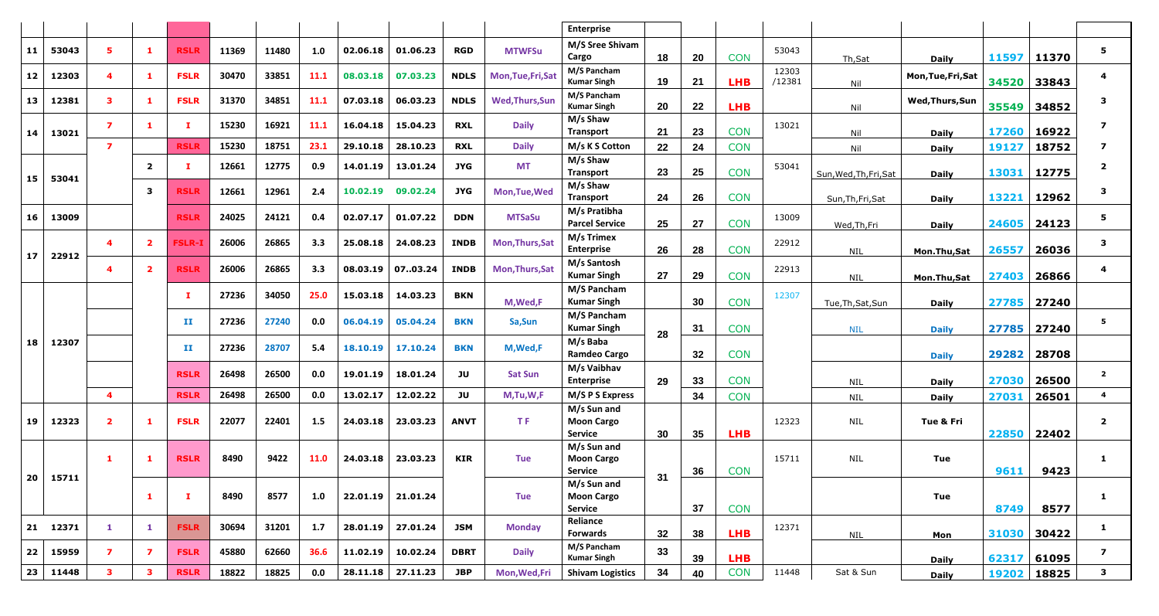|                 |          |                         |                         |               |       |       |      |          |          |             |                        | <b>Enterprise</b>                                  |    |    |            |                 |                        |                    |             |       |                |
|-----------------|----------|-------------------------|-------------------------|---------------|-------|-------|------|----------|----------|-------------|------------------------|----------------------------------------------------|----|----|------------|-----------------|------------------------|--------------------|-------------|-------|----------------|
| 11              | 53043    | 5.                      | -1                      | <b>RSLR</b>   | 11369 | 11480 | 1.0  | 02.06.18 | 01.06.23 | <b>RGD</b>  | <b>MTWFSu</b>          | M/S Sree Shivam<br>Cargo                           | 18 | 20 | <b>CON</b> | 53043           | Th,Sat                 | <b>Daily</b>       | 11597 11370 |       | 5.             |
| 12              | 12303    | 4                       |                         | <b>FSLR</b>   | 30470 | 33851 | 11.1 | 08.03.18 | 07.03.23 | <b>NDLS</b> | Mon, Tue, Fri, Sat     | M/S Pancham<br><b>Kumar Singh</b>                  | 19 | 21 | <b>LHB</b> | 12303<br>/12381 | Nil                    | Mon, Tue, Fri, Sat | 34520 33843 |       |                |
| 13              | 12381    | 3                       | -1                      | <b>FSLR</b>   | 31370 | 34851 | 11.1 | 07.03.18 | 06.03.23 | <b>NDLS</b> | <b>Wed, Thurs, Sun</b> | M/S Pancham<br><b>Kumar Singh</b>                  | 20 | 22 | <b>LHB</b> |                 | Nil                    | Wed, Thurs, Sun    | 35549       | 34852 |                |
| 14              | 13021    | $\overline{7}$          | -1.                     | T.            | 15230 | 16921 | 11.1 | 16.04.18 | 15.04.23 | <b>RXL</b>  | <b>Daily</b>           | M/s Shaw<br>Transport                              | 21 | 23 | <b>CON</b> | 13021           | Nil                    | <b>Daily</b>       | 17260 16922 |       |                |
|                 |          | $\overline{ }$          |                         | <b>RSLR</b>   | 15230 | 18751 | 23.1 | 29.10.18 | 28.10.23 | <b>RXL</b>  | <b>Daily</b>           | M/s K S Cotton                                     | 22 | 24 | <b>CON</b> |                 | Nil                    | <b>Daily</b>       | 19127       | 18752 |                |
| 15              | 53041    |                         | $\overline{\mathbf{2}}$ | T.            | 12661 | 12775 | 0.9  | 14.01.19 | 13.01.24 | JYG         | <b>MT</b>              | M/s Shaw<br><b>Transport</b>                       | 23 | 25 | <b>CON</b> | 53041           | Sun, Wed, Th, Fri, Sat | <b>Daily</b>       | 13031 12775 |       | $\mathbf{2}$   |
|                 |          |                         | 3                       | <b>RSLR</b>   | 12661 | 12961 | 2.4  | 10.02.19 | 09.02.24 | JYG         | Mon, Tue, Wed          | M/s Shaw<br><b>Transport</b>                       | 24 | 26 | <b>CON</b> |                 | Sun, Th, Fri, Sat      | <b>Daily</b>       | 13221       | 12962 | 3              |
| 16              | 13009    |                         |                         | <b>RSLR</b>   | 24025 | 24121 | 0.4  | 02.07.17 | 01.07.22 | <b>DDN</b>  | <b>MTSaSu</b>          | M/s Pratibha<br><b>Parcel Service</b>              | 25 | 27 | <b>CON</b> | 13009           | Wed, Th, Fri           | <b>Daily</b>       | 24605 24123 |       | 5              |
|                 |          | $\boldsymbol{4}$        | $\mathbf{2}$            | <b>FSLR-1</b> | 26006 | 26865 | 3.3  | 25.08.18 | 24.08.23 | <b>INDB</b> | Mon, Thurs, Sat        | M/s Trimex<br><b>Enterprise</b>                    | 26 | 28 | <b>CON</b> | 22912           | NIL                    | Mon.Thu,Sat        | 26557       | 26036 | 3              |
| 17 <sub>2</sub> | 22912    | 4                       | -2                      | <b>RSLR</b>   | 26006 | 26865 | 3.3  | 08.03.19 | 0703.24  | <b>INDB</b> | Mon, Thurs, Sat        | M/s Santosh<br><b>Kumar Singh</b>                  | 27 | 29 | <b>CON</b> | 22913           | <b>NIL</b>             | Mon.Thu,Sat        | 27403       | 26866 |                |
|                 |          |                         |                         | T.            | 27236 | 34050 | 25.0 | 15.03.18 | 14.03.23 | BKN         | M, Wed, F              | M/S Pancham<br><b>Kumar Singh</b>                  |    | 30 | <b>CON</b> | 12307           | Tue, Th, Sat, Sun      | <b>Daily</b>       | 27785 27240 |       |                |
|                 |          |                         |                         | п             | 27236 | 27240 | 0.0  | 06.04.19 | 05.04.24 | <b>BKN</b>  | Sa, Sun                | M/S Pancham<br><b>Kumar Singh</b>                  |    | 31 | <b>CON</b> |                 | <b>NIL</b>             | <b>Daily</b>       | 27785 27240 |       | 5              |
| 18              | 12307    |                         |                         | п             | 27236 | 28707 | 5.4  | 18.10.19 | 17.10.24 | <b>BKN</b>  | M, Wed, F              | M/s Baba<br><b>Ramdeo Cargo</b>                    | 28 | 32 | <b>CON</b> |                 |                        | <b>Daily</b>       | 29282 28708 |       |                |
|                 |          |                         |                         | <b>RSLR</b>   | 26498 | 26500 | 0.0  | 19.01.19 | 18.01.24 | JU          | <b>Sat Sun</b>         | M/s Vaibhav<br><b>Enterprise</b><br>29             |    | 33 | <b>CON</b> |                 | <b>NIL</b>             | <b>Daily</b>       | 27030       | 26500 | $\overline{2}$ |
|                 |          | $\overline{\mathbf{4}}$ |                         | <b>RSLR</b>   | 26498 | 26500 | 0.0  | 13.02.17 | 12.02.22 | JU          | M,Tu,W,F               | M/S P S Express                                    |    | 34 | <b>CON</b> |                 | <b>NIL</b>             | <b>Daily</b>       | 27031       | 26501 | $\overline{4}$ |
| 19              | 12323    | $\overline{2}$          | - 1                     | <b>FSLR</b>   | 22077 | 22401 | 1.5  | 24.03.18 | 23.03.23 | <b>ANVT</b> | T.F                    | M/s Sun and<br><b>Moon Cargo</b><br><b>Service</b> | 30 | 35 | <b>LHB</b> | 12323           | <b>NIL</b>             | Tue & Fri          | 22850 22402 |       | $\mathbf{2}$   |
|                 | 15711    | -1                      |                         | <b>RSLR</b>   | 8490  | 9422  | 11.0 | 24.03.18 | 23.03.23 | <b>KIR</b>  | <b>Tue</b>             | M/s Sun and<br><b>Moon Cargo</b><br>Service        | 31 | 36 | <b>CON</b> | 15711           | <b>NIL</b>             | Tue                | 9611        | 9423  | 1.             |
| 20              |          |                         | $\mathbf{1}$            | L.            | 8490  | 8577  | 1.0  | 22.01.19 | 21.01.24 |             | <b>Tue</b>             | M/s Sun and<br><b>Moon Cargo</b><br><b>Service</b> |    | 37 | <b>CON</b> |                 |                        | <b>Tue</b>         | 8749        | 8577  | $\mathbf{1}$   |
|                 | 21 12371 | $\mathbf{1}$            | $\mathbf{1}$            | <b>FSLR</b>   | 30694 | 31201 | 1.7  | 28.01.19 | 27.01.24 | JSM         | <b>Monday</b>          | Reliance<br><b>Forwards</b>                        | 32 | 38 | <b>LHB</b> | 12371           | NIL                    | Mon                | 31030 30422 |       | $\mathbf{1}$   |
| 22              | 15959    | $\mathbf{7}$            | 7                       | <b>FSLR</b>   | 45880 | 62660 | 36.6 | 11.02.19 | 10.02.24 | <b>DBRT</b> | <b>Daily</b>           | M/S Pancham<br><b>Kumar Singh</b>                  | 33 | 39 | <b>LHB</b> |                 |                        | <b>Daily</b>       | 62317 61095 |       | $\overline{z}$ |
| 23              | 11448    | $\mathbf{3}$            | 3                       | <b>RSLR</b>   | 18822 | 18825 | 0.0  | 28.11.18 | 27.11.23 | <b>JBP</b>  | Mon, Wed, Fri          | <b>Shivam Logistics</b>                            | 34 | 40 | <b>CON</b> | 11448           | Sat & Sun              | <b>Daily</b>       | 19202 18825 |       | 3              |